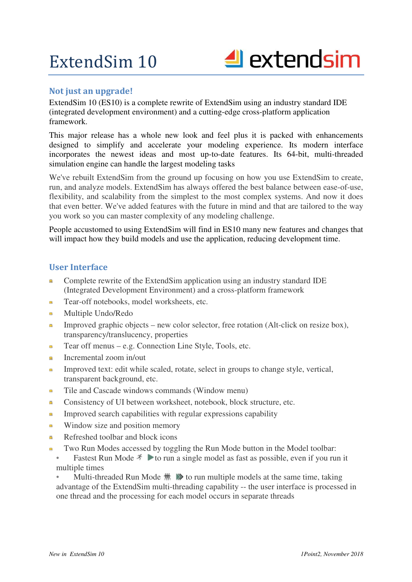

# **Not just an upgrade!**

ExtendSim 10 (ES10) is a complete rewrite of ExtendSim using an industry standard IDE (integrated development environment) and a cutting-edge cross-platform application framework.

This major release has a whole new look and feel plus it is packed with enhancements designed to simplify and accelerate your modeling experience. Its modern interface incorporates the newest ideas and most up-to-date features. Its 64-bit, multi-threaded simulation engine can handle the largest modeling tasks

We've rebuilt ExtendSim from the ground up focusing on how you use ExtendSim to create, run, and analyze models. ExtendSim has always offered the best balance between ease-of-use, flexibility, and scalability from the simplest to the most complex systems. And now it does that even better. We've added features with the future in mind and that are tailored to the way you work so you can master complexity of any modeling challenge.

People accustomed to using ExtendSim will find in ES10 many new features and changes that will impact how they build models and use the application, reducing development time.

## **User Interface**

- Complete rewrite of the ExtendSim application using an industry standard IDE ö (Integrated Development Environment) and a cross-platform framework
- **Tear-off notebooks, model worksheets, etc.**
- **Multiple Undo/Redo**
- Improved graphic objects new color selector, free rotation (Alt-click on resize box), transparency/translucency, properties
- Tear off menus e.g. Connection Line Style, Tools, etc.
- **Incremental zoom in/out**
- Improved text: edit while scaled, rotate, select in groups to change style, vertical, transparent background, etc.
- Tile and Cascade windows commands (Window menu)
- **Consistency of UI between worksheet, notebook, block structure, etc.**
- Improved search capabilities with regular expressions capability
- Window size and position memory
- Refreshed toolbar and block icons
- Two Run Modes accessed by toggling the Run Mode button in the Model toolbar:
- Fastest Run Mode  $\hat{\tau}$  to run a single model as fast as possible, even if you run it multiple times

Multi-threaded Run Mode  $\# \gg$  to run multiple models at the same time, taking advantage of the ExtendSim multi-threading capability -- the user interface is processed in one thread and the processing for each model occurs in separate threads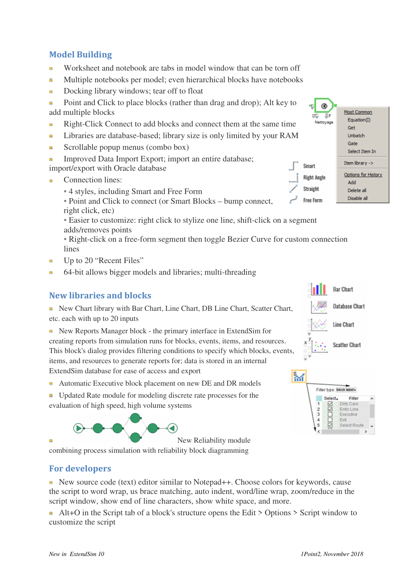# **Model Building**

- Worksheet and notebook are tabs in model window that can be torn off
- Multiple notebooks per model; even hierarchical blocks have notebooks
- Docking library windows; tear off to float ö
- **Point and Click to place blocks (rather than drag and drop); Alt key to** add multiple blocks
- Right-Click Connect to add blocks and connect them at the same time ö
- Libraries are database-based; library size is only limited by your RAM
- Scrollable popup menus (combo box) ö
- Improved Data Import Export; import an entire database; import/export with Oracle database
- Connection lines:
	- 4 styles, including Smart and Free Form

• Point and Click to connect (or Smart Blocks – bump connect, right click, etc)

• Easier to customize: right click to stylize one line, shift-click on a segment adds/removes points

• Right-click on a free-form segment then toggle Bezier Curve for custom connection lines

- Up to 20 "Recent Files" ö
- 64-bit allows bigger models and libraries; multi-threading  $\bullet$

# **New libraries and blocks**

New Chart library with Bar Chart, Line Chart, DB Line Chart, Scatter Chart, etc. each with up to 20 inputs

• New Reports Manager block - the primary interface in ExtendSim for creating reports from simulation runs for blocks, events, items, and resources. This block's dialog provides filtering conditions to specify which blocks, events,

items, and resources to generate reports for; data is stored in an internal ExtendSim database for ease of access and export

• Automatic Executive block placement on new DE and DR models

Updated Rate module for modeling discrete rate processes for the evaluation of high speed, high volume systems



combining process simulation with reliability block diagramming

## **For developers**

■ New source code (text) editor similar to Notepad++. Choose colors for keywords, cause the script to word wrap, us brace matching, auto indent, word/line wrap, zoom/reduce in the script window, show end of line characters, show white space, and more.

 Alt+O in the Script tab of a block's structure opens the Edit > Options > Script window to customize the script





**Bar Chart**